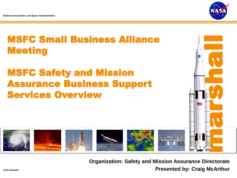

# MSFC Small Business Alliance **Meeting**

# MSFC Safety and Mission Assurance Business Support Services Overview



**Organization: Safety and Mission Assurance Directorate Presented by: Craig McArthur**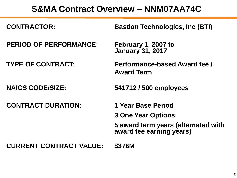## **S&MA Contract Overview - NNM07AA74C**

| <b>CONTRACTOR:</b>            | <b>Bastion Technologies, Inc (BTI)</b>                          |
|-------------------------------|-----------------------------------------------------------------|
| <b>PERIOD OF PERFORMANCE:</b> | February 1, 2007 to<br>January 31, 2017                         |
| <b>TYPE OF CONTRACT:</b>      | Performance-based Award fee /<br><b>Award Term</b>              |
| <b>NAICS CODE/SIZE:</b>       | 541712 / 500 employees                                          |
| <b>CONTRACT DURATION:</b>     | 1 Year Base Period                                              |
|                               | <b>3 One Year Options</b>                                       |
|                               | 5 award term years (alternated with<br>award fee earning years) |
|                               | 885281                                                          |

**CURRENT CONTRACT VALUE: \$376M**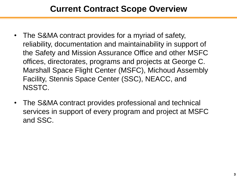# **Current Contract Scope Overview**

- The S&MA contract provides for a myriad of safety, reliability, documentation and maintainability in support of the Safety and Mission Assurance Office and other MSFC offices, directorates, programs and projects at George C. Marshall Space Flight Center (MSFC), Michoud Assembly Facility, Stennis Space Center (SSC), NEACC, and NSSTC.
- The S&MA contract provides professional and technical services in support of every program and project at MSFC and SSC.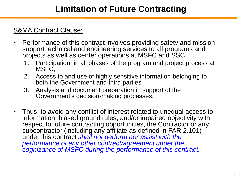#### S&MA Contract Clause:

- Performance of this contract involves providing safety and mission support technical and engineering services to all programs and projects as well as center operations at MSFC and SSC.
	- 1. Participation in all phases of the program and project process at MSFC,
	- 2. Access to and use of highly sensitive information belonging to both the Government and third parties
	- 3. Analysis and document preparation in support of the Government's decision-making processes.
- Thus, to avoid any conflict of interest related to unequal access to information, biased ground rules, and/or impaired objectivity with respect to future contracting opportunities, the Contractor or any subcontractor (including any affiliate as defined in FAR 2.101) under this contract *shall not perform nor assist with the performance of any other contract/agreement under the cognizance of MSFC during the performance of this contract.*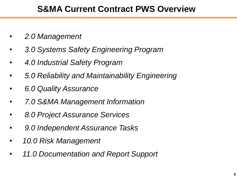- *2.0 Management*
- *3.0 Systems Safety Engineering Program*
- *4.0 Industrial Safety Program*
- *5.0 Reliability and Maintainability Engineering*
- *6.0 Quality Assurance*
- *7.0 S&MA Management Information*
- *8.0 Project Assurance Services*
- *9.0 Independent Assurance Tasks*
- *10.0 Risk Management*
- *11.0 Documentation and Report Support*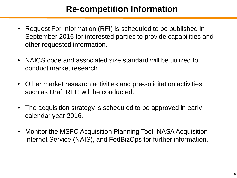# **Re-competition Information**

- Request For Information (RFI) is scheduled to be published in September 2015 for interested parties to provide capabilities and other requested information.
- NAICS code and associated size standard will be utilized to conduct market research.
- Other market research activities and pre-solicitation activities, such as Draft RFP, will be conducted.
- The acquisition strategy is scheduled to be approved in early calendar year 2016.
- Monitor the MSFC Acquisition Planning Tool, NASA Acquisition Internet Service (NAIS), and FedBizOps for further information.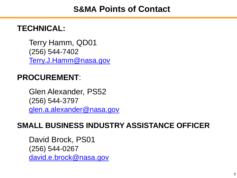### **S&MA Points of Contact**

### **TECHNICAL:**

Terry Hamm, QD01 (256) 544-7402 [Terry.J.Hamm@nasa.gov](mailto:audrey.r.mcmillan@nasa.gov)

# **PROCUREMENT**:

Glen Alexander, PS52 (256) 544-3797 [glen.a.alexander@nasa.gov](mailto:Glen.a.alexander@nasa.gov)

#### **SMALL BUSINESS INDUSTRY ASSISTANCE OFFICER**

David Brock, PS01 (256) 544-0267 [david.e.brock@nasa.gov](mailto:david.e.brock@nasa.gov)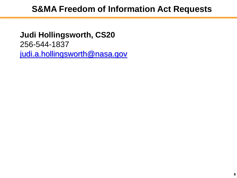### **S&MA Freedom of Information Act Requests**

**Judi Hollingsworth, CS20** 256-544-1837 [judi.a.hollingsworth@nasa.gov](mailto:judi.a.hollingsworth@nasa.gov)